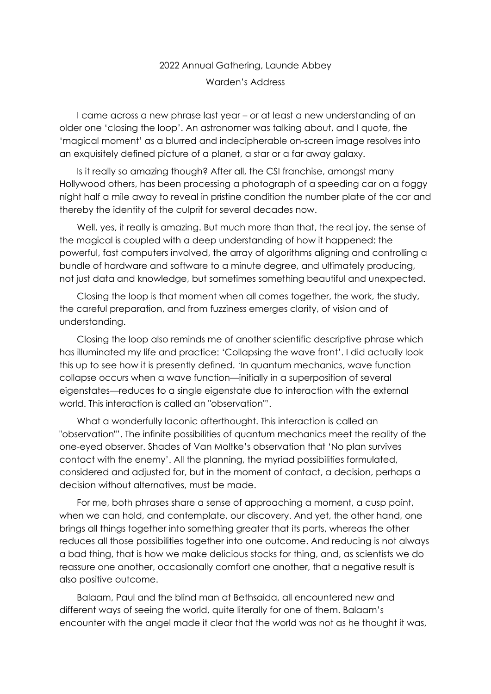## 2022 Annual Gathering, Launde Abbey Warden's Address

I came across a new phrase last year – or at least a new understanding of an older one 'closing the loop'. An astronomer was talking about, and I quote, the 'magical moment' as a blurred and indecipherable on-screen image resolves into an exquisitely defined picture of a planet, a star or a far away galaxy.

Is it really so amazing though? After all, the CSI franchise, amongst many Hollywood others, has been processing a photograph of a speeding car on a foggy night half a mile away to reveal in pristine condition the number plate of the car and thereby the identity of the culprit for several decades now.

Well, yes, it really is amazing. But much more than that, the real joy, the sense of the magical is coupled with a deep understanding of how it happened: the powerful, fast computers involved, the array of algorithms aligning and controlling a bundle of hardware and software to a minute degree, and ultimately producing, not just data and knowledge, but sometimes something beautiful and unexpected.

Closing the loop is that moment when all comes together, the work, the study, the careful preparation, and from fuzziness emerges clarity, of vision and of understanding.

Closing the loop also reminds me of another scientific descriptive phrase which has illuminated my life and practice: 'Collapsing the wave front'. I did actually look this up to see how it is presently defined. 'In quantum mechanics, wave function collapse occurs when a wave function—initially in a superposition of several eigenstates—reduces to a single eigenstate due to interaction with the external world. This interaction is called an "observation"'.

What a wonderfully laconic afterthought. This interaction is called an "observation"'. The infinite possibilities of quantum mechanics meet the reality of the one-eyed observer. Shades of Van Moltke's observation that 'No plan survives contact with the enemy'. All the planning, the myriad possibilities formulated, considered and adjusted for, but in the moment of contact, a decision, perhaps a decision without alternatives, must be made.

For me, both phrases share a sense of approaching a moment, a cusp point, when we can hold, and contemplate, our discovery. And yet, the other hand, one brings all things together into something greater that its parts, whereas the other reduces all those possibilities together into one outcome. And reducing is not always a bad thing, that is how we make delicious stocks for thing, and, as scientists we do reassure one another, occasionally comfort one another, that a negative result is also positive outcome.

Balaam, Paul and the blind man at Bethsaida, all encountered new and different ways of seeing the world, quite literally for one of them. Balaam's encounter with the angel made it clear that the world was not as he thought it was,